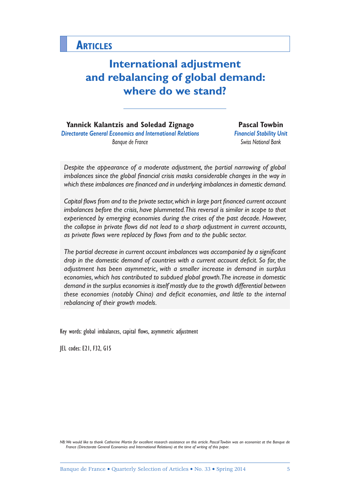# **International adjustment and rebalancing of global demand: where do we stand?**

**Yannick Kalantzis and Soledad Zignago** *Directorate General Economics and International Relations Banque de France*

**Pascal Towbin** *Financial Stability Unit Swiss National Bank*

*Despite the appearance of a moderate adjustment, the partial narrowing of global imbalances since the global financial crisis masks considerable changes in the way in which these imbalances are financed and in underlying imbalances in domestic demand.*

*Capital flows from and to the private sector, which in large part financed current account imbalances before the crisis, have plummeted. This reversal is similar in scope to that experienced by emerging economies during the crises of the past decade. However, the collapse in private flows did not lead to a sharp adjustment in current accounts, as private flows were replaced by flows from and to the public sector.*

*The partial decrease in current account imbalances was accompanied by a significant drop in the domestic demand of countries with a current account deficit. So far, the adjustment has been asymmetric, with a smaller increase in demand in surplus economies, which has contributed to subdued global growth. The increase in domestic demand in the surplus economies is itself mostly due to the growth differential between these economies (notably China) and deficit economies, and little to the internal rebalancing of their growth models.*

Key words: global imbalances, capital flows, asymmetric adjustment

JEL codes: E21, F32, G15

*NB:We would like to thank Catherine Martin for excellent research assistance on this article. Pascal Towbin was an economist at the Banque de France (Directorate General Economics and International Relations) at the time of writing of this paper.*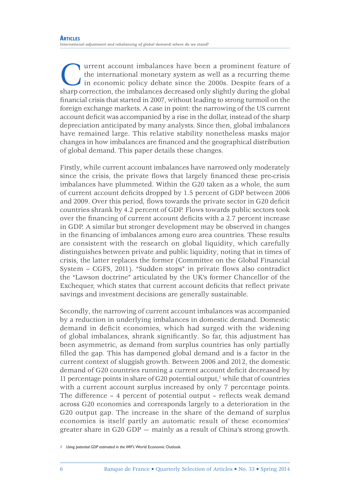**Current account imbalances have been a prominent feature of the international monetary system as well as a recurring theme in economic policy debate since the 2000s. Despite fears of a sharp correction, the imbalances dec** the international monetary system as well as a recurring theme in economic policy debate since the 2000s. Despite fears of a financial crisis that started in 2007, without leading to strong turmoil on the foreign exchange markets. A case in point: the narrowing of the US current account deficit was accompanied by a rise in the dollar, instead of the sharp depreciation anticipated by many analysts. Since then, global imbalances have remained large. This relative stability nonetheless masks major changes in how imbalances are financed and the geographical distribution of global demand. This paper details these changes.

Firstly, while current account imbalances have narrowed only moderately since the crisis, the private flows that largely financed these pre-crisis imbalances have plummeted. Within the G20 taken as a whole, the sum of current account deficits dropped by 1.5 percent of GDP between 2006 and 2009. Over this period, flows towards the private sector in G20 deficit countries shrank by 4.2 percent of GDP. Flows towards public sectors took over the financing of current account deficits with a 2.7 percent increase in GDP. A similar but stronger development may be observed in changes in the financing of imbalances among euro area countries. These results are consistent with the research on global liquidity, which carefully distinguishes between private and public liquidity, noting that in times of crisis, the latter replaces the former (Committee on the Global Financial System – CGFS, 2011). "Sudden stops" in private flows also contradict the "Lawson doctrine" articulated by the UK's former Chancellor of the Exchequer, which states that current account deficits that reflect private savings and investment decisions are generally sustainable.

Secondly, the narrowing of current account imbalances was accompanied by a reduction in underlying imbalances in domestic demand. Domestic demand in deficit economies, which had surged with the widening of global imbalances, shrank significantly. So far, this adjustment has been asymmetric, as demand from surplus countries has only partially filled the gap. This has dampened global demand and is a factor in the current context of sluggish growth. Between 2006 and 2012, the domestic demand of G20 countries running a current account deficit decreased by 11 percentage points in share of G20 potential output, $1$  while that of countries with a current account surplus increased by only 7 percentage points. The difference – 4 percent of potential output – reflects weak demand across G20 economies and corresponds largely to a deterioration in the G20 output gap. The increase in the share of the demand of surplus economies is itself partly an automatic result of these economies' greater share in G20 GDP — mainly as a result of China's strong growth.

*<sup>1</sup> Using potential GDP estimated in the IMF's* World Economic Outlook.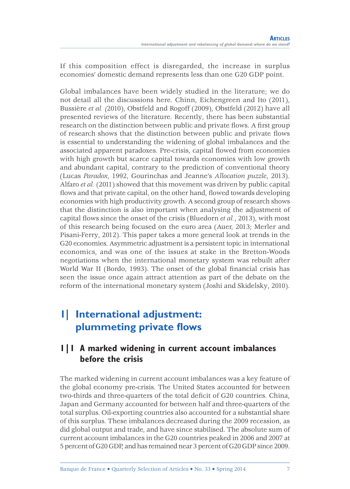If this composition effect is disregarded, the increase in surplus economies' domestic demand represents less than one G20 GDP point.

Global imbalances have been widely studied in the literature; we do not detail all the discussions here. Chinn, Eichengreen and Ito (2011), Bussière *et al. (*2010), Obstfeld and Rogoff (2009), Obstfeld (2012) have all presented reviews of the literature. Recently, there has been substantial research on the distinction between public and private flows. A first group of research shows that the distinction between public and private flows is essential to understanding the widening of global imbalances and the associated apparent paradoxes. Pre-crisis, capital flowed from economies with high growth but scarce capital towards economies with low growth and abundant capital, contrary to the prediction of conventional theory (Lucas *Paradox*, 1992, Gourinchas and Jeanne's *Allocation puzzle*, 2013). Alfaro *et al.* (2011) showed that this movement was driven by public capital flows and that private capital, on the other hand, flowed towards developing economies with high productivity growth. A second group of research shows that the distinction is also important when analysing the adjustment of capital flows since the onset of the crisis (Bluedorn *et al.*, 2013), with most of this research being focused on the euro area (Auer, 2013; Merler and Pisani-Ferry, 2012). This paper takes a more general look at trends in the G20 economies. Asymmetric adjustment is a persistent topic in international economics, and was one of the issues at stake in the Bretton-Woods negotiations when the international monetary system was rebuilt after World War II (Bordo, 1993). The onset of the global financial crisis has seen the issue once again attract attention as part of the debate on the reform of the international monetary system (Joshi and Skidelsky, 2010).

# **1| International adjustment: plummeting private flows**

### **1|1 A marked widening in current account imbalances before the crisis**

The marked widening in current account imbalances was a key feature of the global economy pre-crisis. The United States accounted for between two-thirds and three-quarters of the total deficit of G20 countries. China, Japan and Germany accounted for between half and three-quarters of the total surplus. Oil-exporting countries also accounted for a substantial share of this surplus. These imbalances decreased during the 2009 recession, as did global output and trade, and have since stabilised. The absolute sum of current account imbalances in the G20 countries peaked in 2006 and 2007 at 5 percent of G20 GDP, and has remained near 3 percent of G20 GDP since 2009.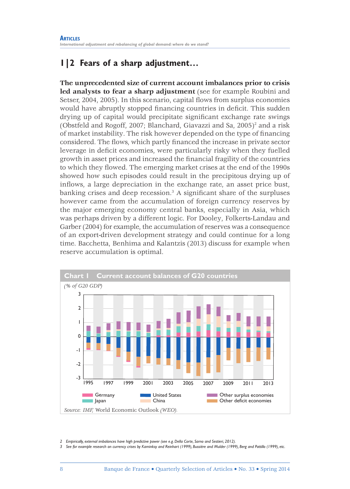## **1|2 Fears of a sharp adjustment…**

**The unprecedented size of current account imbalances prior to crisis led analysts to fear a sharp adjustment** (see for example Roubini and Setser, 2004, 2005). In this scenario, capital flows from surplus economies would have abruptly stopped financing countries in deficit. This sudden drying up of capital would precipitate significant exchange rate swings (Obstfeld and Rogoff, 2007; Blanchard, Giavazzi and Sa, 2005)<sup>2</sup> and a risk of market instability. The risk however depended on the type of financing considered. The flows, which partly financed the increase in private sector leverage in deficit economies, were particularly risky when they fuelled growth in asset prices and increased the financial fragility of the countries to which they flowed. The emerging market crises at the end of the 1990s showed how such episodes could result in the precipitous drying up of inflows, a large depreciation in the exchange rate, an asset price bust, banking crises and deep recession.3 A significant share of the surpluses however came from the accumulation of foreign currency reserves by the major emerging economy central banks, especially in Asia, which was perhaps driven by a different logic. For Dooley, Folkerts-Landau and Garber (2004) for example, the accumulation of reserves was a consequence of an export-driven development strategy and could continue for a long time. Bacchetta, Benhima and Kalantzis (2013) discuss for example when reserve accumulation is optimal.



*2 Empirically, external imbalances have high predictive power (see e.g. Della Corte, Sarno and Sestieri, 2012).*

*3 See for example research on currency crises by Kaminksy and Reinhart (1999), Bussière and Mulder (1999), Berg and Pattillo (1999), etc.*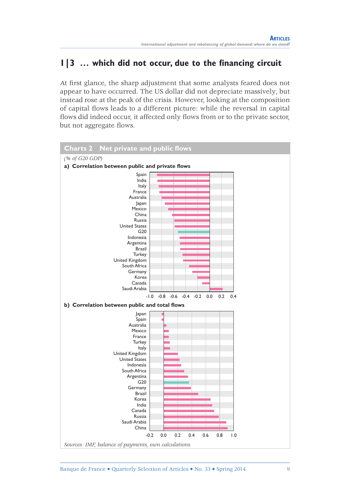## **1|3 … which did not occur, due to the financing circuit**

At first glance, the sharp adjustment that some analysts feared does not appear to have occurred. The US dollar did not depreciate massively, but instead rose at the peak of the crisis. However, looking at the composition of capital flows leads to a different picture: while the reversal in capital flows did indeed occur, it affected only flows from or to the private sector, but not aggregate flows.

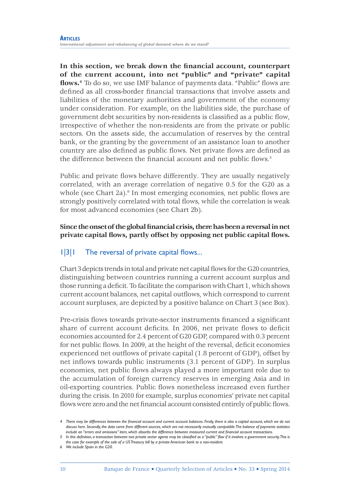**In this section, we break down the financial account, counterpart of the current account, into net "public" and "private" capital flows.4** To do so, we use IMF balance of payments data. "Public" flows are defined as all cross-border financial transactions that involve assets and liabilities of the monetary authorities and government of the economy under consideration. For example, on the liabilities side, the purchase of government debt securities by non-residents is classified as a public flow, irrespective of whether the non-residents are from the private or public sectors. On the assets side, the accumulation of reserves by the central bank, or the granting by the government of an assistance loan to another country are also defined as public flows. Net private flows are defined as the difference between the financial account and net public flows.<sup>5</sup>

Public and private flows behave differently. They are usually negatively correlated, with an average correlation of negative 0.5 for the G20 as a whole (see Chart 2a).<sup>6</sup> In most emerging economies, net public flows are strongly positively correlated with total flows, while the correlation is weak for most advanced economies (see Chart 2b).

**Since the onset of the global financial crisis, there has been a reversal in net private capital flows, partly offset by opposing net public capital flows.**

### 1|3|1 The reversal of private capital flows...

Chart 3 depicts trends in total and private net capital flows for the G20 countries, distinguishing between countries running a current account surplus and those running a deficit. To facilitate the comparison with Chart 1, which shows current account balances, net capital outflows, which correspond to current account surpluses, are depicted by a positive balance on Chart 3 (see Box).

Pre-crisis flows towards private-sector instruments financed a significant share of current account deficits. In 2006, net private flows to deficit economies accounted for 2.4 percent of G20 GDP, compared with 0.3 percent for net public flows. In 2009, at the height of the reversal, deficit economies experienced net outflows of private capital (1.8 percent of GDP), offset by net inflows towards public instruments (3.1 percent of GDP). In surplus economies, net public flows always played a more important role due to the accumulation of foreign currency reserves in emerging Asia and in oil-exporting countries. Public flows nonetheless increased even further during the crisis. In 2010 for example, surplus economies' private net capital flows were zero and the net financial account consisted entirely of public flows.

*<sup>4</sup> There may be differences between the financial account and current account balances. Firstly, there is also a capital account, which we do not discuss here. Secondly, the data come from different sources, which are not necessarily mutually compatible. The balance of payments statistics include an "errors and omissions" item, which absorbs the difference between measured current and financial account transactions.*

*<sup>5</sup> In this definition, a transaction between two private sector agents may be classified as a "public" flow if it involves a government security. This is the case for example of the sale of a US Treasury bill by a private American bank to a non-resident.* 

*<sup>6</sup> We include Spain in the G20.*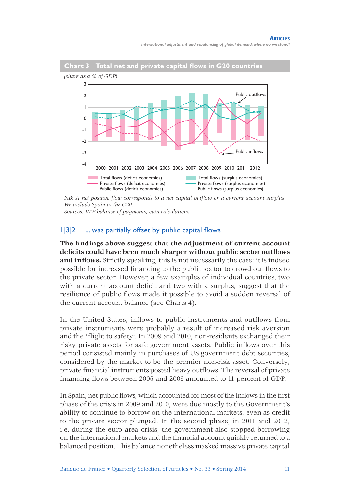

### 1|3|2 ... was partially offset by public capital flows

**The findings above suggest that the adjustment of current account deficits could have been much sharper without public sector outflows and inflows.** Strictly speaking, this is not necessarily the case: it is indeed possible for increased financing to the public sector to crowd out flows to the private sector. However, a few examples of individual countries, two with a current account deficit and two with a surplus, suggest that the resilience of public flows made it possible to avoid a sudden reversal of the current account balance (see Charts 4).

In the United States, inflows to public instruments and outflows from private instruments were probably a result of increased risk aversion and the "flight to safety". In 2009 and 2010, non‑residents exchanged their risky private assets for safe government assets. Public inflows over this period consisted mainly in purchases of US government debt securities, considered by the market to be the premier non-risk asset. Conversely, private financial instruments posted heavy outflows. The reversal of private financing flows between 2006 and 2009 amounted to 11 percent of GDP.

In Spain, net public flows, which accounted for most of the inflows in the first phase of the crisis in 2009 and 2010, were due mostly to the Government's ability to continue to borrow on the international markets, even as credit to the private sector plunged. In the second phase, in 2011 and 2012, i.e. during the euro area crisis, the government also stopped borrowing on the international markets and the financial account quickly returned to a balanced position. This balance nonetheless masked massive private capital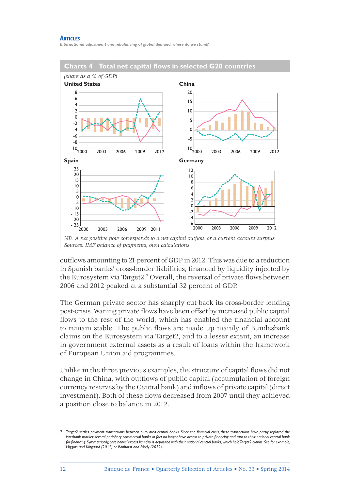*International adjustment and rebalancing of global demand: where do we stand?*



outflows amounting to 21 percent of GDP in 2012. This was due to a reduction in Spanish banks' cross-border liabilities, financed by liquidity injected by the Eurosystem via Target2.7 Overall, the reversal of private flows between 2006 and 2012 peaked at a substantial 32 percent of GDP.

The German private sector has sharply cut back its cross-border lending post-crisis. Waning private flows have been offset by increased public capital flows to the rest of the world, which has enabled the financial account to remain stable. The public flows are made up mainly of Bundesbank claims on the Eurosystem via Target2, and to a lesser extent, an increase in government external assets as a result of loans within the framework of European Union aid programmes.

Unlike in the three previous examples, the structure of capital flows did not change in China, with outflows of public capital (accumulation of foreign currency reserves by the Central bank) and inflows of private capital (direct investment). Both of these flows decreased from 2007 until they achieved a position close to balance in 2012.

*<sup>7</sup> Target2 settles payment transactions between euro area central banks. Since the financial crisis, these transactions have partly replaced the interbank market: several periphery commercial banks in fact no longer have access to private financing and turn to their national central bank for financing. Symmetrically, core banks' excess liquidity is deposited with their national central banks, which hold Target2 claims. See for example, Higgins and Klitgaard (2011) or Bonhorst and Mody (2012).*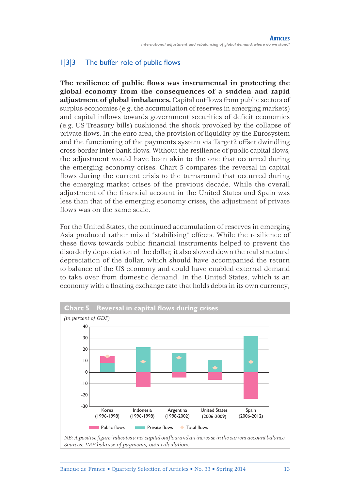### 1|3|3 The buffer role of public flows

**The resilience of public flows was instrumental in protecting the global economy from the consequences of a sudden and rapid adjustment of global imbalances.** Capital outflows from public sectors of surplus economies (e.g. the accumulation of reserves in emerging markets) and capital inflows towards government securities of deficit economies (e.g. US Treasury bills) cushioned the shock provoked by the collapse of private flows. In the euro area, the provision of liquidity by the Eurosystem and the functioning of the payments system via Target2 offset dwindling cross-border inter-bank flows. Without the resilience of public capital flows, the adjustment would have been akin to the one that occurred during the emerging economy crises. Chart 5 compares the reversal in capital flows during the current crisis to the turnaround that occurred during the emerging market crises of the previous decade. While the overall adjustment of the financial account in the United States and Spain was less than that of the emerging economy crises, the adjustment of private flows was on the same scale.

For the United States, the continued accumulation of reserves in emerging Asia produced rather mixed "stabilising" effects. While the resilience of these flows towards public financial instruments helped to prevent the disorderly depreciation of the dollar, it also slowed down the real structural depreciation of the dollar, which should have accompanied the return to balance of the US economy and could have enabled external demand to take over from domestic demand. In the United States, which is an economy with a floating exchange rate that holds debts in its own currency,



*Sources: IMF balance of payments, own calculations.*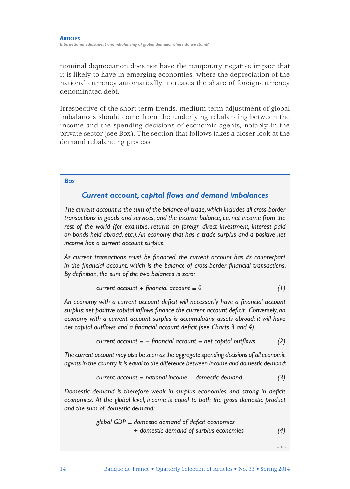nominal depreciation does not have the temporary negative impact that it is likely to have in emerging economies, where the depreciation of the national currency automatically increases the share of foreign-currency denominated debt.

Irrespective of the short-term trends, medium-term adjustment of global imbalances should come from the underlying rebalancing between the income and the spending decisions of economic agents, notably in the private sector (see Box). The section that follows takes a closer look at the demand rebalancing process.

#### *Box*

#### *Current account, capital flows and demand imbalances*

*The current account is the sum of the balance of trade, which includes all cross-border transactions in goods and services, and the income balance, i.e. net income from the rest of the world (for example, returns on foreign direct investment, interest paid on bonds held abroad, etc.). An economy that has a trade surplus and a positive net income has a current account surplus.*

*As current transactions must be financed, the current account has its counterpart in the financial account, which is the balance of cross-border financial transactions. By definition, the sum of the two balances is zero:*

$$
current account + financial account = 0
$$
 (1)

*An economy with a current account deficit will necessarily have a financial account surplus: net positive capital inflows finance the current account deficit. Conversely, an economy with a current account surplus is accumulating assets abroad: it will have net capital outflows and a financial account deficit (see Charts 3 and 4).* 

$$
current account = - financial account = net capital outflows \qquad (2)
$$

*The current account may also be seen as the aggregate spending decisions of all economic agents in the country. It is equal to the difference between income and domestic demand:*

$$
current account = national income - domestic demand
$$
 (3)

*Domestic demand is therefore weak in surplus economies and strong in deficit economies. At the global level, income is equal to both the gross domestic product and the sum of domestic demand:*

$$
global GDP = domestic demand of deficit economics+ domestic demand of surplus economics
$$
(4)

*…/…*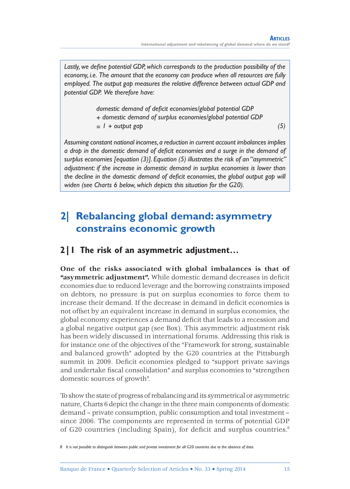*Lastly, we define potential GDP, which corresponds to the production possibility of the economy, i.e. The amount that the economy can produce when all resources are fully employed. The output gap measures the relative difference between actual GDP and potential GDP. We therefore have:*

> *domestic demand of deficit economies/global potential GDP + domestic demand of surplus economies/global potential GDP = 1 + output gap (5)*

*Assuming constant national incomes, a reduction in current account imbalances implies a drop in the domestic demand of deficit economies and a surge in the demand of surplus economies [equation (3)]. Equation (5) illustrates the risk of an "asymmetric" adjustment: if the increase in domestic demand in surplus economies is lower than the decline in the domestic demand of deficit economies, the global output gap will widen (see Charts 6 below, which depicts this situation for the G20).*

# **2| Rebalancing global demand: asymmetry constrains economic growth**

### **2|1 The risk of an asymmetric adjustment…**

**One of the risks associated with global imbalances is that of "asymmetric adjustment".** While domestic demand decreases in deficit economies due to reduced leverage and the borrowing constraints imposed on debtors, no pressure is put on surplus economies to force them to increase their demand. If the decrease in demand in deficit economies is not offset by an equivalent increase in demand in surplus economies, the global economy experiences a demand deficit that leads to a recession and a global negative output gap (see Box). This asymmetric adjustment risk has been widely discussed in international forums. Addressing this risk is for instance one of the objectives of the "Framework for strong, sustainable and balanced growth" adopted by the G20 countries at the Pittsburgh summit in 2009. Deficit economies pledged to "support private savings and undertake fiscal consolidation" and surplus economies to "strengthen domestic sources of growth".

To show the state of progress of rebalancing and its symmetrical or asymmetric nature, Charts 6 depict the change in the three main components of domestic demand – private consumption, public consumption and total investment – since 2006. The components are represented in terms of potential GDP of G20 countries (including Spain), for deficit and surplus countries.<sup>8</sup>

*<sup>8</sup> It is not possible to distinguish between public and private investment for all G20 countries due to the absence of data.*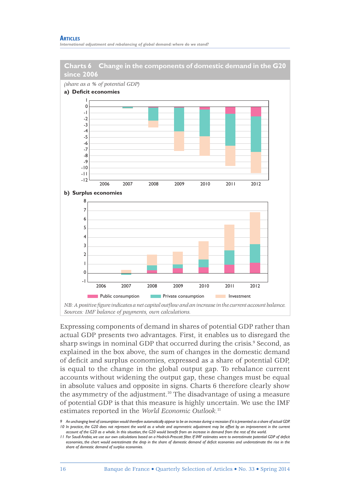*International adjustment and rebalancing of global demand: where do we stand?*



Expressing components of demand in shares of potential GDP rather than actual GDP presents two advantages. First, it enables us to disregard the sharp swings in nominal GDP that occurred during the crisis.<sup>9</sup> Second, as explained in the box above, the sum of changes in the domestic demand of deficit and surplus economies, expressed as a share of potential GDP, is equal to the change in the global output gap. To rebalance current accounts without widening the output gap, these changes must be equal in absolute values and opposite in signs. Charts 6 therefore clearly show the asymmetry of the adjustment.10 The disadvantage of using a measure of potential GDP is that this measure is highly uncertain. We use the IMF estimates reported in the *World Economic Outlook.*<sup>11</sup>

*<sup>9</sup> An unchanging level of consumption would therefore automatically appear to be an increase during a recession if it is presented as a share of actual GDP. 10* In practice, the G20 does not represent the world as a whole and asymmetric adjustment may be offset by an improvement in the current *account of the G20 as a whole. In this situation, the G20 would benefit from an increase in demand from the rest of the world.*

*<sup>11</sup> For Saudi Arabia, we use our own calculations based on a Hodrick-Prescott filter. If IMF estimates were to overestimate potential GDP of deficit economies, the chart would overestimate the drop in the share of domestic demand of deficit economies and underestimate the rise in the share of domestic demand of surplus economies.*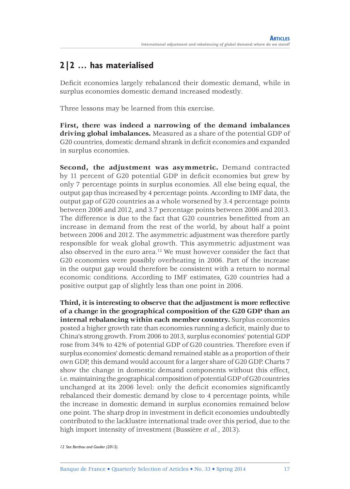## **2|2 … has materialised**

Deficit economies largely rebalanced their domestic demand, while in surplus economies domestic demand increased modestly.

Three lessons may be learned from this exercise.

**First, there was indeed a narrowing of the demand imbalances driving global imbalances.** Measured as a share of the potential GDP of G20 countries, domestic demand shrank in deficit economies and expanded in surplus economies.

**Second, the adjustment was asymmetric.** Demand contracted by 11 percent of G20 potential GDP in deficit economies but grew by only 7 percentage points in surplus economies. All else being equal, the output gap thus increased by 4 percentage points. According to IMF data, the output gap of G20 countries as a whole worsened by 3.4 percentage points between 2006 and 2012, and 3.7 percentage points between 2006 and 2013. The difference is due to the fact that G20 countries benefitted from an increase in demand from the rest of the world, by about half a point between 2006 and 2012. The asymmetric adjustment was therefore partly responsible for weak global growth. This asymmetric adjustment was also observed in the euro area.12 We must however consider the fact that G20 economies were possibly overheating in 2006. Part of the increase in the output gap would therefore be consistent with a return to normal economic conditions. According to IMF estimates, G20 countries had a positive output gap of slightly less than one point in 2006.

**Third, it is interesting to observe that the adjustment is more reflective of a change in the geographical composition of the G20 GDP than an internal rebalancing within each member country.** Surplus economies posted a higher growth rate than economies running a deficit, mainly due to China's strong growth. From 2006 to 2013, surplus economies' potential GDP rose from 34% to 42% of potential GDP of G20 countries. Therefore even if surplus economies' domestic demand remained stable as a proportion of their own GDP, this demand would account for a larger share of G20 GDP. Charts 7 show the change in domestic demand components without this effect, i.e. maintaining the geographical composition of potential GDP of G20 countries unchanged at its 2006 level: only the deficit economies significantly rebalanced their domestic demand by close to 4 percentage points, while the increase in domestic demand in surplus economies remained below one point. The sharp drop in investment in deficit economies undoubtedly contributed to the lacklustre international trade over this period, due to the high import intensity of investment (Bussière *et al.*, 2013).

*<sup>12</sup> See Berthou and Gaulier (2013).*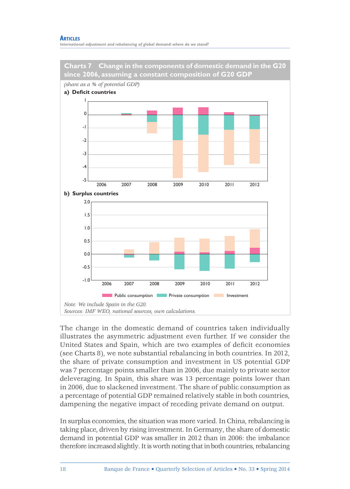*International adjustment and rebalancing of global demand: where do we stand?*





The change in the domestic demand of countries taken individually illustrates the asymmetric adjustment even further. If we consider the United States and Spain, which are two examples of deficit economies (see Charts 8), we note substantial rebalancing in both countries. In 2012, the share of private consumption and investment in US potential GDP was 7 percentage points smaller than in 2006, due mainly to private sector deleveraging. In Spain, this share was 13 percentage points lower than in 2006, due to slackened investment. The share of public consumption as a percentage of potential GDP remained relatively stable in both countries, dampening the negative impact of receding private demand on output.

In surplus economies, the situation was more varied. In China, rebalancing is taking place, driven by rising investment. In Germany, the share of domestic demand in potential GDP was smaller in 2012 than in 2006: the imbalance therefore increased slightly. It is worth noting that in both countries, rebalancing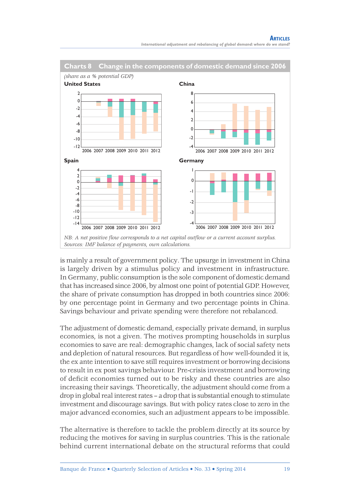

is mainly a result of government policy. The upsurge in investment in China is largely driven by a stimulus policy and investment in infrastructure. In Germany, public consumption is the sole component of domestic demand that has increased since 2006, by almost one point of potential GDP. However, the share of private consumption has dropped in both countries since 2006: by one percentage point in Germany and two percentage points in China. Savings behaviour and private spending were therefore not rebalanced.

The adjustment of domestic demand, especially private demand, in surplus economies, is not a given. The motives prompting households in surplus economies to save are real: demographic changes, lack of social safety nets and depletion of natural resources. But regardless of how well-founded it is, the ex ante intention to save still requires investment or borrowing decisions to result in ex post savings behaviour. Pre-crisis investment and borrowing of deficit economies turned out to be risky and these countries are also increasing their savings. Theoretically, the adjustment should come from a drop in global real interest rates – a drop that is substantial enough to stimulate investment and discourage savings. But with policy rates close to zero in the major advanced economies, such an adjustment appears to be impossible.

The alternative is therefore to tackle the problem directly at its source by reducing the motives for saving in surplus countries. This is the rationale behind current international debate on the structural reforms that could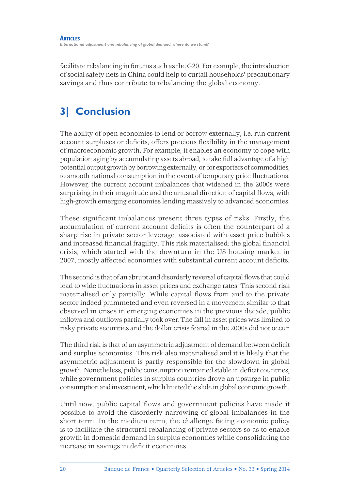facilitate rebalancing in forums such as the G20. For example, the introduction of social safety nets in China could help to curtail households' precautionary savings and thus contribute to rebalancing the global economy.

# **3| Conclusion**

The ability of open economies to lend or borrow externally, i.e. run current account surpluses or deficits, offers precious flexibility in the management of macroeconomic growth. For example, it enables an economy to cope with population aging by accumulating assets abroad, to take full advantage of a high potential output growth by borrowing externally, or, for exporters of commodities, to smooth national consumption in the event of temporary price fluctuations. However, the current account imbalances that widened in the 2000s were surprising in their magnitude and the unusual direction of capital flows, with high-growth emerging economies lending massively to advanced economies.

These significant imbalances present three types of risks. Firstly, the accumulation of current account deficits is often the counterpart of a sharp rise in private sector leverage, associated with asset price bubbles and increased financial fragility. This risk materialised: the global financial crisis, which started with the downturn in the US housing market in 2007, mostly affected economies with substantial current account deficits.

The second is that of an abrupt and disorderly reversal of capital flows that could lead to wide fluctuations in asset prices and exchange rates. This second risk materialised only partially. While capital flows from and to the private sector indeed plummeted and even reversed in a movement similar to that observed in crises in emerging economies in the previous decade, public inflows and outflows partially took over. The fall in asset prices was limited to risky private securities and the dollar crisis feared in the 2000s did not occur.

The third risk is that of an asymmetric adjustment of demand between deficit and surplus economies. This risk also materialised and it is likely that the asymmetric adjustment is partly responsible for the slowdown in global growth. Nonetheless, public consumption remained stable in deficit countries, while government policies in surplus countries drove an upsurge in public consumption and investment, which limited the slide in global economic growth.

Until now, public capital flows and government policies have made it possible to avoid the disorderly narrowing of global imbalances in the short term. In the medium term, the challenge facing economic policy is to facilitate the structural rebalancing of private sectors so as to enable growth in domestic demand in surplus economies while consolidating the increase in savings in deficit economies.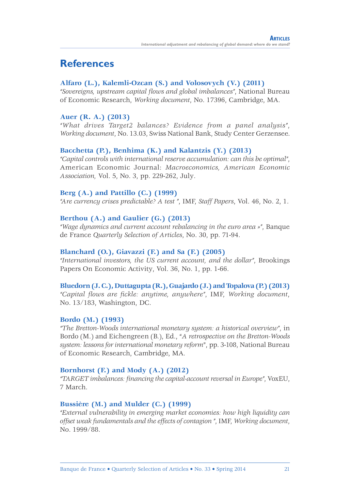# **References**

### **Alfaro (L.), Kalemli‑Ozcan (S.) and Volosovych (V.) (2011)**

*"Sovereigns, upstream capital flows and global imbalances"*, National Bureau of Economic Research, *Working document*, No. 17396, Cambridge, MA.

#### **Auer (R. A.) (2013)**

*"What drives Target2 balances? Evidence from a panel analysis"*, *Working document*, No. 13.03, Swiss National Bank, Study Center Gerzensee.

#### **Bacchetta (P.), Benhima (K.) and Kalantzis (Y.) (2013)**

*"Capital controls with international reserve accumulation: can this be optimal"*, American Economic Journal: *Macroeconomics, American Economic Association,* Vol. 5, No. 3, pp. 229-262, July.

#### **Berg (A.) and Pattillo (C.) (1999)**

*"Are currency crises predictable? A test "*, IMF, *Staff Papers*, Vol. 46, No. 2, 1.

#### **Berthou (A.) and Gaulier (G.) (2013)**

*"Wage dynamics and current account rebalancing in the euro area »"*, Banque de France *Quarterly Selection of Articles*, No. 30, pp. 71-94.

#### **Blanchard (O.), Giavazzi (F.) and Sa (F.) (2005)**

*"International investors, the US current account, and the dollar"*, Brookings Papers On Economic Activity, Vol. 36, No. 1, pp. 1-66.

#### **Bluedorn (J. C.), Duttagupta (R.), Guajardo (J.) and Topalova (P.) (2013)**

*"Capital flows are fickle: anytime, anywhere"*, IMF, *Working document*, No. 13/183, Washington, DC.

#### **Bordo (M.) (1993)**

*"The Bretton‑Woods international monetary system: a historical overview"*, in Bordo (M.) and Eichengreen (B.), Ed., "*A retrospective on the Bretton‑Woods system: lessons for international monetary reform*", pp. 3-108, National Bureau of Economic Research, Cambridge, MA.

### **Bornhorst (F.) and Mody (A.) (2012)**

*"TARGET imbalances: financing the capital-account reversal in Europe"*, VoxEU, 7 March.

#### **Bussière (M.) and Mulder (C.) (1999)**

*"External vulnerability in emerging market economies: how high liquidity can offset weak fundamentals and the effects of contagion "*, IMF, *Working document*, No. 1999/88.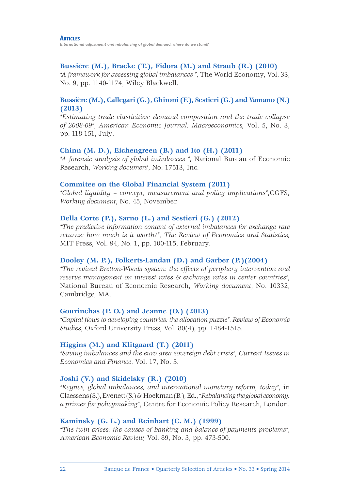#### **Bussière (M.), Bracke (T.), Fidora (M.) and Straub (R.) (2010)**

*"A framework for assessing global imbalances "*, The World Economy, Vol. 33, No. 9, pp. 1140-1174, Wiley Blackwell.

#### **Bussière (M.), Callegari (G.), Ghironi (F.), Sestieri (G.) and Yamano (N.) (2013)**

*"Estimating trade elasticities: demand composition and the trade collapse of 2008‑09"*, *American Economic Journal: Macroeconomics,* Vol. 5, No. 3, pp. 118-151, July.

#### **Chinn (M. D.), Eichengreen (B.) and Ito (H.) (2011)**

*"A forensic analysis of global imbalances "*, National Bureau of Economic Research, *Working document*, No. 17513, Inc.

#### **Commitee on the Global Financial System (2011)**

*"Global liquidity – concept, measurement and policy implications"*,CGFS, *Working document*, No. 45, November.

#### **Della Corte (P.), Sarno (L.) and Sestieri (G.) (2012)**

*"The predictive information content of external imbalances for exchange rate returns: how much is it worth?"*, *The Review of Economics and Statistics,* MIT Press, Vol. 94, No. 1, pp. 100-115, February.

#### **Dooley (M. P.), Folkerts-Landau (D.) and Garber (P.)(2004)**

*"The revived Bretton‑Woods system: the effects of periphery intervention and reserve management on interest rates & exchange rates in center countries"*, National Bureau of Economic Research, *Working document*, No. 10332, Cambridge, MA.

#### **Gourinchas (P. O.) and Jeanne (O.) (2013)**

*"Capital flows to developing countries: the allocation puzzle"*, *Review of Economic Studies*, Oxford University Press, Vol. 80(4), pp. 1484-1515.

#### **Higgins (M.) and Klitgaard (T.) (2011)**

*"Saving imbalances and the euro area sovereign debt crisis"*, *Current Issues in Economics and Finance*, Vol. 17, No. 5.

### **Joshi (V.) and Skidelsky (R.) (2010)**

*"Keynes, global imbalances, and international monetary reform, today"*, in Claessens (S.), Evenett (S.) & Hoekman (B.), Ed., "*Rebalancing the global economy: a primer for policymaking*", Centre for Economic Policy Research, London.

### **Kaminsky (G. L.) and Reinhart (C. M.) (1999)**

*"The twin crises: the causes of banking and balance‑of‑payments problems"*, *American Economic Review,* Vol. 89, No. 3, pp. 473-500.